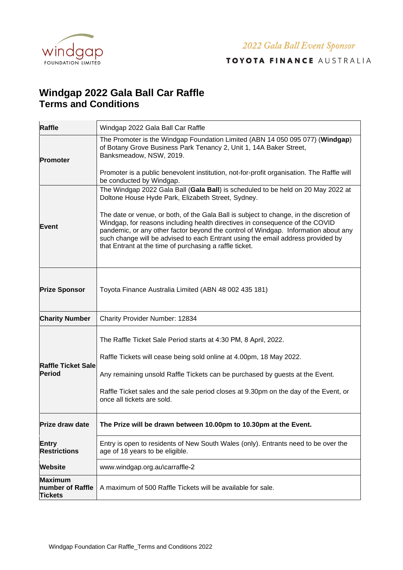

2022 Gala Ball Event Sponsor

TOYOTA FINANCE AUSTRALIA

## **Windgap 2022 Gala Ball Car Raffle Terms and Conditions**

| <b>Raffle</b>                                 | Windgap 2022 Gala Ball Car Raffle                                                                                                                                                                                                                                                                                                                                                                                                                                                                                                                     |
|-----------------------------------------------|-------------------------------------------------------------------------------------------------------------------------------------------------------------------------------------------------------------------------------------------------------------------------------------------------------------------------------------------------------------------------------------------------------------------------------------------------------------------------------------------------------------------------------------------------------|
| Promoter                                      | The Promoter is the Windgap Foundation Limited (ABN 14 050 095 077) (Windgap)<br>of Botany Grove Business Park Tenancy 2, Unit 1, 14A Baker Street,<br>Banksmeadow, NSW, 2019.<br>Promoter is a public benevolent institution, not-for-profit organisation. The Raffle will<br>be conducted by Windgap.                                                                                                                                                                                                                                               |
| <b>Event</b>                                  | The Windgap 2022 Gala Ball (Gala Ball) is scheduled to be held on 20 May 2022 at<br>Doltone House Hyde Park, Elizabeth Street, Sydney.<br>The date or venue, or both, of the Gala Ball is subject to change, in the discretion of<br>Windgap, for reasons including health directives in consequence of the COVID<br>pandemic, or any other factor beyond the control of Windgap. Information about any<br>such change will be advised to each Entrant using the email address provided by<br>that Entrant at the time of purchasing a raffle ticket. |
| <b>Prize Sponsor</b>                          | Toyota Finance Australia Limited (ABN 48 002 435 181)                                                                                                                                                                                                                                                                                                                                                                                                                                                                                                 |
| <b>Charity Number</b>                         | Charity Provider Number: 12834                                                                                                                                                                                                                                                                                                                                                                                                                                                                                                                        |
| <b>Raffle Ticket Sale</b><br><b>Period</b>    | The Raffle Ticket Sale Period starts at 4:30 PM, 8 April, 2022.<br>Raffle Tickets will cease being sold online at 4.00pm, 18 May 2022.<br>Any remaining unsold Raffle Tickets can be purchased by guests at the Event.<br>Raffle Ticket sales and the sale period closes at 9.30pm on the day of the Event, or<br>once all tickets are sold.                                                                                                                                                                                                          |
| <b>Prize draw date</b>                        | The Prize will be drawn between 10.00pm to 10.30pm at the Event.                                                                                                                                                                                                                                                                                                                                                                                                                                                                                      |
| <b>Entry</b><br><b>Restrictions</b>           | Entry is open to residents of New South Wales (only). Entrants need to be over the<br>age of 18 years to be eligible.                                                                                                                                                                                                                                                                                                                                                                                                                                 |
| <b>Website</b>                                | www.windgap.org.au\carraffle-2                                                                                                                                                                                                                                                                                                                                                                                                                                                                                                                        |
| Maximum<br>number of Raffle<br><b>Tickets</b> | A maximum of 500 Raffle Tickets will be available for sale.                                                                                                                                                                                                                                                                                                                                                                                                                                                                                           |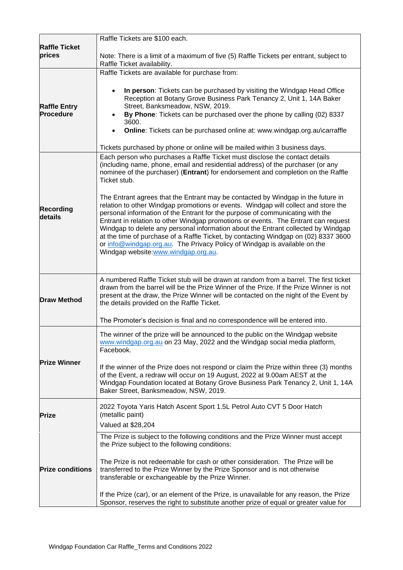|                                  | Raffle Tickets are \$100 each.                                                                                                                                                                                                                                                                                                                                                                                                                                                                                                                            |
|----------------------------------|-----------------------------------------------------------------------------------------------------------------------------------------------------------------------------------------------------------------------------------------------------------------------------------------------------------------------------------------------------------------------------------------------------------------------------------------------------------------------------------------------------------------------------------------------------------|
| <b>Raffle Ticket</b><br>prices   | Note: There is a limit of a maximum of five (5) Raffle Tickets per entrant, subject to<br>Raffle Ticket availability.                                                                                                                                                                                                                                                                                                                                                                                                                                     |
|                                  | Raffle Tickets are available for purchase from:                                                                                                                                                                                                                                                                                                                                                                                                                                                                                                           |
| <b>Raffle Entry</b><br>Procedure | In person: Tickets can be purchased by visiting the Windgap Head Office<br>$\bullet$<br>Reception at Botany Grove Business Park Tenancy 2, Unit 1, 14A Baker<br>Street, Banksmeadow, NSW, 2019.<br>By Phone: Tickets can be purchased over the phone by calling (02) 8337<br>3600.<br>Online: Tickets can be purchased online at: www.windgap.org.au\carraffle                                                                                                                                                                                            |
|                                  | Tickets purchased by phone or online will be mailed within 3 business days.                                                                                                                                                                                                                                                                                                                                                                                                                                                                               |
|                                  | Each person who purchases a Raffle Ticket must disclose the contact details<br>(including name, phone, email and residential address) of the purchaser (or any<br>nominee of the purchaser) (Entrant) for endorsement and completion on the Raffle<br>Ticket stub.<br>The Entrant agrees that the Entrant may be contacted by Windgap in the future in                                                                                                                                                                                                    |
| <b>Recording</b><br>details      | relation to other Windgap promotions or events. Windgap will collect and store the<br>personal information of the Entrant for the purpose of communicating with the<br>Entrant in relation to other Windgap promotions or events. The Entrant can request<br>Windgap to delete any personal information about the Entrant collected by Windgap<br>at the time of purchase of a Raffle Ticket, by contacting Windgap on (02) 8337 3600<br>or info@windgap.org.au. The Privacy Policy of Windgap is available on the<br>Windgap website:www.windgap.org.au. |
| <b>Draw Method</b>               | A numbered Raffle Ticket stub will be drawn at random from a barrel. The first ticket<br>drawn from the barrel will be the Prize Winner of the Prize. If the Prize Winner is not<br>present at the draw, the Prize Winner will be contacted on the night of the Event by<br>the details provided on the Raffle Ticket.                                                                                                                                                                                                                                    |
|                                  | The Promoter's decision is final and no correspondence will be entered into.                                                                                                                                                                                                                                                                                                                                                                                                                                                                              |
|                                  | The winner of the prize will be announced to the public on the Windgap website<br>www.windgap.org.au on 23 May, 2022 and the Windgap social media platform,<br>Facebook.                                                                                                                                                                                                                                                                                                                                                                                  |
| <b>Prize Winner</b>              | If the winner of the Prize does not respond or claim the Prize within three (3) months<br>of the Event, a redraw will occur on 19 August, 2022 at 9.00am AEST at the<br>Windgap Foundation located at Botany Grove Business Park Tenancy 2, Unit 1, 14A<br>Baker Street, Banksmeadow, NSW, 2019.                                                                                                                                                                                                                                                          |
| <b>Prize</b>                     | 2022 Toyota Yaris Hatch Ascent Sport 1.5L Petrol Auto CVT 5 Door Hatch<br>(metallic paint)<br>Valued at \$28,204                                                                                                                                                                                                                                                                                                                                                                                                                                          |
|                                  | The Prize is subject to the following conditions and the Prize Winner must accept<br>the Prize subject to the following conditions:                                                                                                                                                                                                                                                                                                                                                                                                                       |
| <b>Prize conditions</b>          | The Prize is not redeemable for cash or other consideration. The Prize will be<br>transferred to the Prize Winner by the Prize Sponsor and is not otherwise<br>transferable or exchangeable by the Prize Winner.                                                                                                                                                                                                                                                                                                                                          |
|                                  | If the Prize (car), or an element of the Prize, is unavailable for any reason, the Prize<br>Sponsor, reserves the right to substitute another prize of equal or greater value for                                                                                                                                                                                                                                                                                                                                                                         |